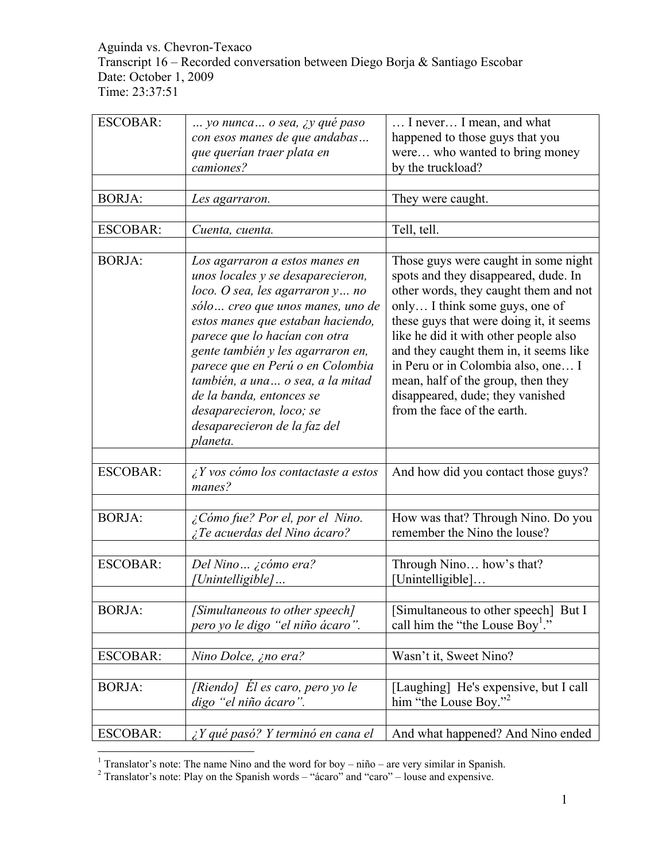Aguinda vs. Chevron-Texaco Transcript 16 – Recorded conversation between Diego Borja & Santiago Escobar Date: October 1, 2009 Time: 23:37:51

| <b>ESCOBAR:</b> | yo nunca o sea, <i>iy qué paso</i>                                                                                                                                                                                                                                                                                                                                                                                                 | I never I mean, and what                                                                                                                                                                                                                                                                                                                                                                                                             |
|-----------------|------------------------------------------------------------------------------------------------------------------------------------------------------------------------------------------------------------------------------------------------------------------------------------------------------------------------------------------------------------------------------------------------------------------------------------|--------------------------------------------------------------------------------------------------------------------------------------------------------------------------------------------------------------------------------------------------------------------------------------------------------------------------------------------------------------------------------------------------------------------------------------|
|                 | con esos manes de que andabas                                                                                                                                                                                                                                                                                                                                                                                                      | happened to those guys that you                                                                                                                                                                                                                                                                                                                                                                                                      |
|                 | que querían traer plata en                                                                                                                                                                                                                                                                                                                                                                                                         | were who wanted to bring money                                                                                                                                                                                                                                                                                                                                                                                                       |
|                 | camiones?                                                                                                                                                                                                                                                                                                                                                                                                                          | by the truckload?                                                                                                                                                                                                                                                                                                                                                                                                                    |
|                 |                                                                                                                                                                                                                                                                                                                                                                                                                                    |                                                                                                                                                                                                                                                                                                                                                                                                                                      |
| <b>BORJA:</b>   | Les agarraron.                                                                                                                                                                                                                                                                                                                                                                                                                     | They were caught.                                                                                                                                                                                                                                                                                                                                                                                                                    |
|                 |                                                                                                                                                                                                                                                                                                                                                                                                                                    |                                                                                                                                                                                                                                                                                                                                                                                                                                      |
| <b>ESCOBAR:</b> | Cuenta, cuenta.                                                                                                                                                                                                                                                                                                                                                                                                                    | Tell, tell.                                                                                                                                                                                                                                                                                                                                                                                                                          |
|                 |                                                                                                                                                                                                                                                                                                                                                                                                                                    |                                                                                                                                                                                                                                                                                                                                                                                                                                      |
| <b>BORJA:</b>   | Los agarraron a estos manes en<br>unos locales y se desaparecieron,<br>loco. O sea, les agarraron y no<br>sólo  creo que unos manes, uno de<br>estos manes que estaban haciendo,<br>parece que lo hacían con otra<br>gente también y les agarraron en,<br>parece que en Perú o en Colombia<br>también, a una o sea, a la mitad<br>de la banda, entonces se<br>desaparecieron, loco; se<br>desaparecieron de la faz del<br>planeta. | Those guys were caught in some night<br>spots and they disappeared, dude. In<br>other words, they caught them and not<br>only I think some guys, one of<br>these guys that were doing it, it seems<br>like he did it with other people also<br>and they caught them in, it seems like<br>in Peru or in Colombia also, one I<br>mean, half of the group, then they<br>disappeared, dude; they vanished<br>from the face of the earth. |
|                 |                                                                                                                                                                                                                                                                                                                                                                                                                                    |                                                                                                                                                                                                                                                                                                                                                                                                                                      |
| <b>ESCOBAR:</b> | $\angle Y$ vos cómo los contactaste a estos<br>manes?                                                                                                                                                                                                                                                                                                                                                                              | And how did you contact those guys?                                                                                                                                                                                                                                                                                                                                                                                                  |
|                 |                                                                                                                                                                                                                                                                                                                                                                                                                                    |                                                                                                                                                                                                                                                                                                                                                                                                                                      |
| <b>BORJA:</b>   | ¿Cómo fue? Por el, por el Nino.<br>¿Te acuerdas del Nino ácaro?                                                                                                                                                                                                                                                                                                                                                                    | How was that? Through Nino. Do you<br>remember the Nino the louse?                                                                                                                                                                                                                                                                                                                                                                   |
| <b>ESCOBAR:</b> | Del Nino ¿cómo era?<br>[Unintelligible]                                                                                                                                                                                                                                                                                                                                                                                            | Through Nino how's that?<br>[Unintelligible]                                                                                                                                                                                                                                                                                                                                                                                         |
| <b>BORJA:</b>   | [Simultaneous to other speech]<br>pero yo le digo "el niño ácaro".                                                                                                                                                                                                                                                                                                                                                                 | [Simultaneous to other speech] But I<br>call him the "the Louse Boy <sup>1</sup> ."                                                                                                                                                                                                                                                                                                                                                  |
| <b>ESCOBAR:</b> | Nino Dolce, ¿no era?                                                                                                                                                                                                                                                                                                                                                                                                               | Wasn't it, Sweet Nino?                                                                                                                                                                                                                                                                                                                                                                                                               |
|                 |                                                                                                                                                                                                                                                                                                                                                                                                                                    |                                                                                                                                                                                                                                                                                                                                                                                                                                      |
| <b>BORJA:</b>   | [Riendo] El es caro, pero yo le<br>digo "el niño ácaro".                                                                                                                                                                                                                                                                                                                                                                           | [Laughing] He's expensive, but I call<br>him "the Louse Boy." <sup>2</sup>                                                                                                                                                                                                                                                                                                                                                           |
|                 |                                                                                                                                                                                                                                                                                                                                                                                                                                    |                                                                                                                                                                                                                                                                                                                                                                                                                                      |
| <b>ESCOBAR:</b> | $\angle Y$ qué pasó? Y terminó en cana el                                                                                                                                                                                                                                                                                                                                                                                          | And what happened? And Nino ended                                                                                                                                                                                                                                                                                                                                                                                                    |

<sup>&</sup>lt;sup>1</sup> Translator's note: The name Nino and the word for boy – niño – are very similar in Spanish.<br><sup>2</sup> Translator's note: Play on the Spanish words – "ácaro" and "caro" – louse and expensive.